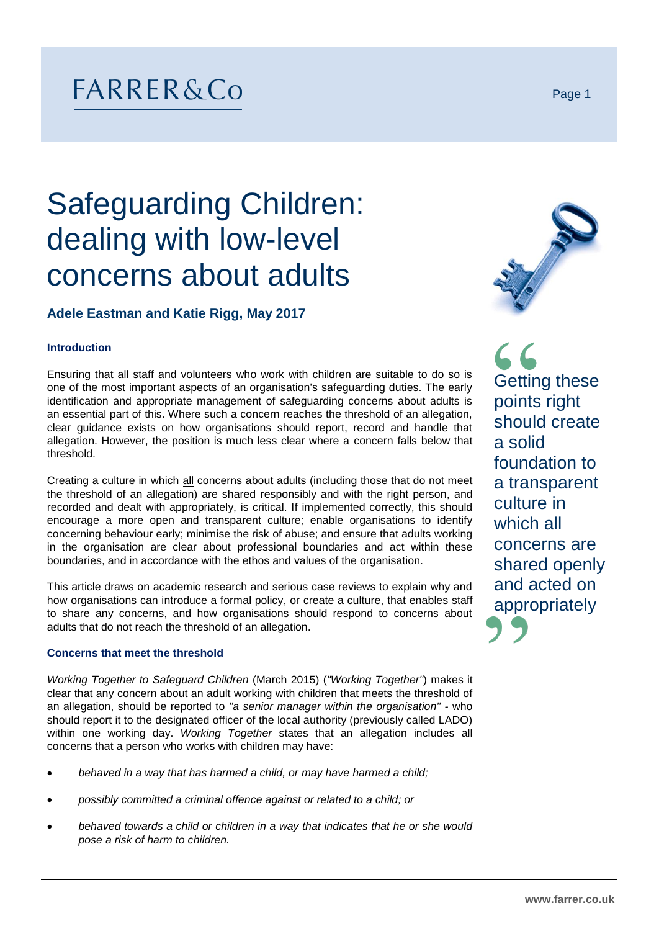# FARRER&Co

# Safeguarding Children: dealing with low-level concerns about adults

# **Adele Eastman and Katie Rigg, May 2017**

### **Introduction**

Ensuring that all staff and volunteers who work with children are suitable to do so is one of the most important aspects of an organisation's safeguarding duties. The early identification and appropriate management of safeguarding concerns about adults is an essential part of this. Where such a concern reaches the threshold of an allegation, clear guidance exists on how organisations should report, record and handle that allegation. However, the position is much less clear where a concern falls below that threshold.

Creating a culture in which all concerns about adults (including those that do not meet the threshold of an allegation) are shared responsibly and with the right person, and recorded and dealt with appropriately, is critical. If implemented correctly, this should encourage a more open and transparent culture; enable organisations to identify concerning behaviour early; minimise the risk of abuse; and ensure that adults working in the organisation are clear about professional boundaries and act within these boundaries, and in accordance with the ethos and values of the organisation.

This article draws on academic research and serious case reviews to explain why and how organisations can introduce a formal policy, or create a culture, that enables staff to share any concerns, and how organisations should respond to concerns about adults that do not reach the threshold of an allegation.

### **Concerns that meet the threshold**

*Working Together to Safeguard Children* (March 2015) (*"Working Together"*) makes it clear that any concern about an adult working with children that meets the threshold of an allegation, should be reported to *"a senior manager within the organisation" -* who should report it to the designated officer of the local authority (previously called LADO) within one working day. *Working Together* states that an allegation includes all concerns that a person who works with children may have:

- *behaved in a way that has harmed a child, or may have harmed a child;*
- *possibly committed a criminal offence against or related to a child; or*
- *behaved towards a child or children in a way that indicates that he or she would pose a risk of harm to children.*

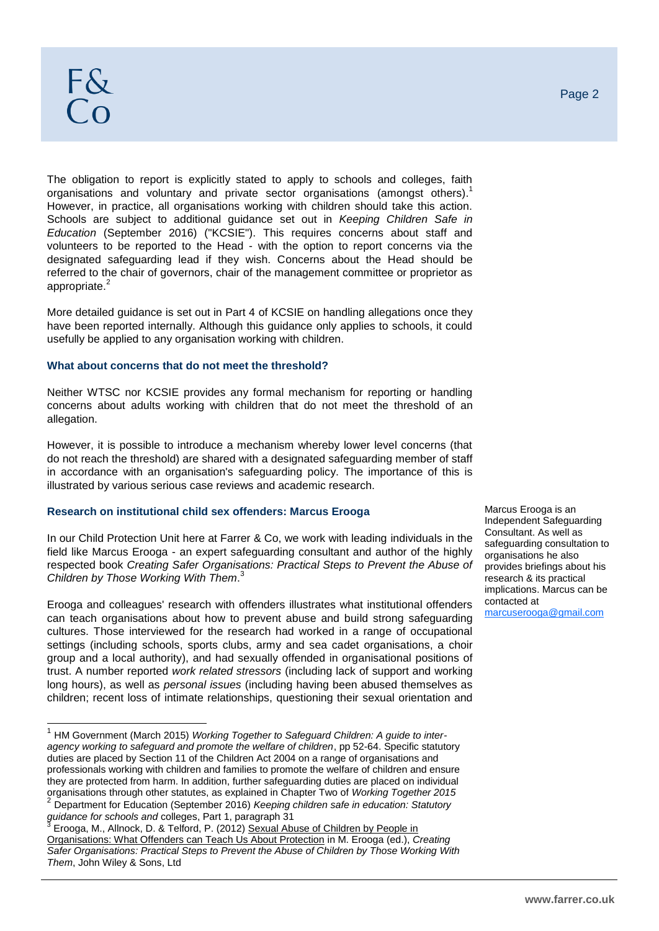The obligation to report is explicitly stated to apply to schools and colleges, faith organisations and voluntary and private sector organisations (amongst others).<sup>1</sup> However, in practice, all organisations working with children should take this action. Schools are subject to additional guidance set out in *Keeping Children Safe in Education* (September 2016) ("KCSIE"). This requires concerns about staff and volunteers to be reported to the Head - with the option to report concerns via the designated safeguarding lead if they wish. Concerns about the Head should be referred to the chair of governors, chair of the management committee or proprietor as appropriate.<sup>2</sup>

More detailed guidance is set out in Part 4 of KCSIE on handling allegations once they have been reported internally. Although this guidance only applies to schools, it could usefully be applied to any organisation working with children.

### **What about concerns that do not meet the threshold?**

Neither WTSC nor KCSIE provides any formal mechanism for reporting or handling concerns about adults working with children that do not meet the threshold of an allegation.

However, it is possible to introduce a mechanism whereby lower level concerns (that do not reach the threshold) are shared with a designated safeguarding member of staff in accordance with an organisation's safeguarding policy. The importance of this is illustrated by various serious case reviews and academic research.

### **Research on institutional child sex offenders: Marcus Erooga**

In our Child Protection Unit here at Farrer & Co, we work with leading individuals in the field like Marcus Erooga - an expert safeguarding consultant and author of the highly respected book *Creating Safer Organisations: Practical Steps to Prevent the Abuse of Children by Those Working With Them*. 3

Erooga and colleagues' research with offenders illustrates what institutional offenders can teach organisations about how to prevent abuse and build strong safeguarding cultures. Those interviewed for the research had worked in a range of occupational settings (including schools, sports clubs, army and sea cadet organisations, a choir group and a local authority), and had sexually offended in organisational positions of trust. A number reported *work related stressors* (including lack of support and working long hours), as well as *personal issues* (including having been abused themselves as children; recent loss of intimate relationships, questioning their sexual orientation and

Marcus Erooga is an Independent Safeguarding Consultant. As well as safeguarding consultation to organisations he also provides briefings about his research & its practical implications. Marcus can be contacted at [marcuserooga@gmail.com](mailto:marcuserooga@gmail.com)

 1 HM Government (March 2015) *Working Together to Safeguard Children: A guide to interagency working to safeguard and promote the welfare of children*, pp 52-64. Specific statutory duties are placed by Section 11 of the Children Act 2004 on a range of organisations and professionals working with children and families to promote the welfare of children and ensure they are protected from harm. In addition, further safeguarding duties are placed on individual organisations through other statutes, as explained in Chapter Two of *Working Together 2015*

<sup>2</sup> Department for Education (September 2016) *Keeping children safe in education: Statutory guidance for schools and* colleges, Part 1, paragraph 31 3

Erooga, M., Allnock, D. & Telford, P. (2012) Sexual Abuse of Children by People in Organisations: What Offenders can Teach Us About Protection in M. Erooga (ed.), *Creating Safer Organisations: Practical Steps to Prevent the Abuse of Children by Those Working With Them*, John Wiley & Sons, Ltd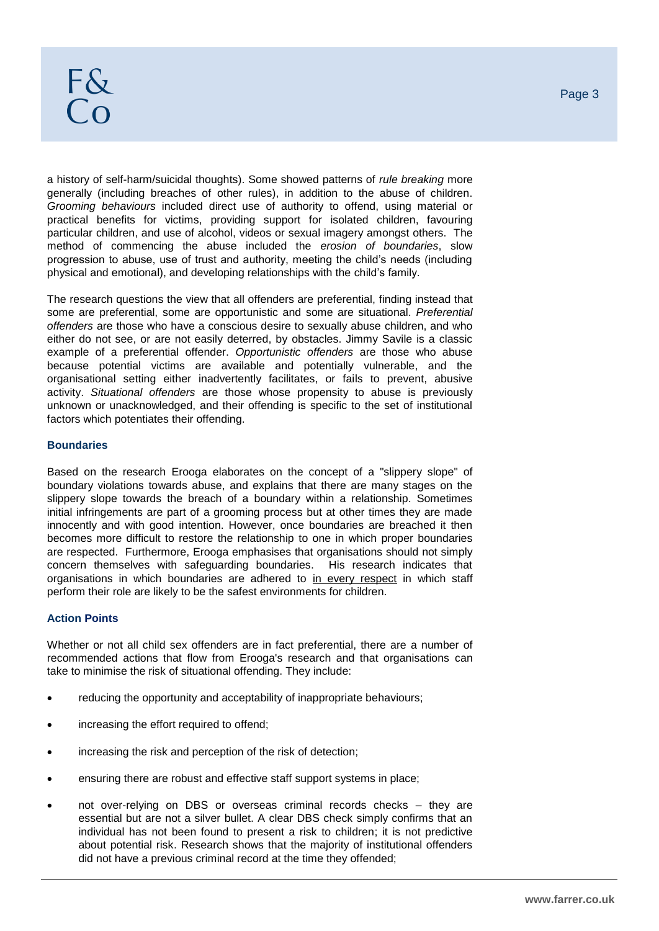a history of self-harm/suicidal thoughts). Some showed patterns of *rule breaking* more generally (including breaches of other rules), in addition to the abuse of children. *Grooming behaviours* included direct use of authority to offend, using material or practical benefits for victims, providing support for isolated children, favouring particular children, and use of alcohol, videos or sexual imagery amongst others. The method of commencing the abuse included the *erosion of boundaries*, slow progression to abuse, use of trust and authority, meeting the child's needs (including physical and emotional), and developing relationships with the child's family.

The research questions the view that all offenders are preferential, finding instead that some are preferential, some are opportunistic and some are situational. *Preferential offenders* are those who have a conscious desire to sexually abuse children, and who either do not see, or are not easily deterred, by obstacles. Jimmy Savile is a classic example of a preferential offender. *Opportunistic offenders* are those who abuse because potential victims are available and potentially vulnerable, and the organisational setting either inadvertently facilitates, or fails to prevent, abusive activity. *Situational offenders* are those whose propensity to abuse is previously unknown or unacknowledged, and their offending is specific to the set of institutional factors which potentiates their offending.

### **Boundaries**

Based on the research Erooga elaborates on the concept of a "slippery slope" of boundary violations towards abuse, and explains that there are many stages on the slippery slope towards the breach of a boundary within a relationship. Sometimes initial infringements are part of a grooming process but at other times they are made innocently and with good intention. However, once boundaries are breached it then becomes more difficult to restore the relationship to one in which proper boundaries are respected. Furthermore, Erooga emphasises that organisations should not simply concern themselves with safeguarding boundaries. His research indicates that organisations in which boundaries are adhered to in every respect in which staff perform their role are likely to be the safest environments for children.

# **Action Points**

Whether or not all child sex offenders are in fact preferential, there are a number of recommended actions that flow from Erooga's research and that organisations can take to minimise the risk of situational offending. They include:

- reducing the opportunity and acceptability of inappropriate behaviours;
- increasing the effort required to offend;
- increasing the risk and perception of the risk of detection;
- ensuring there are robust and effective staff support systems in place;
- not over-relying on DBS or overseas criminal records checks they are essential but are not a silver bullet. A clear DBS check simply confirms that an individual has not been found to present a risk to children; it is not predictive about potential risk. Research shows that the majority of institutional offenders did not have a previous criminal record at the time they offended;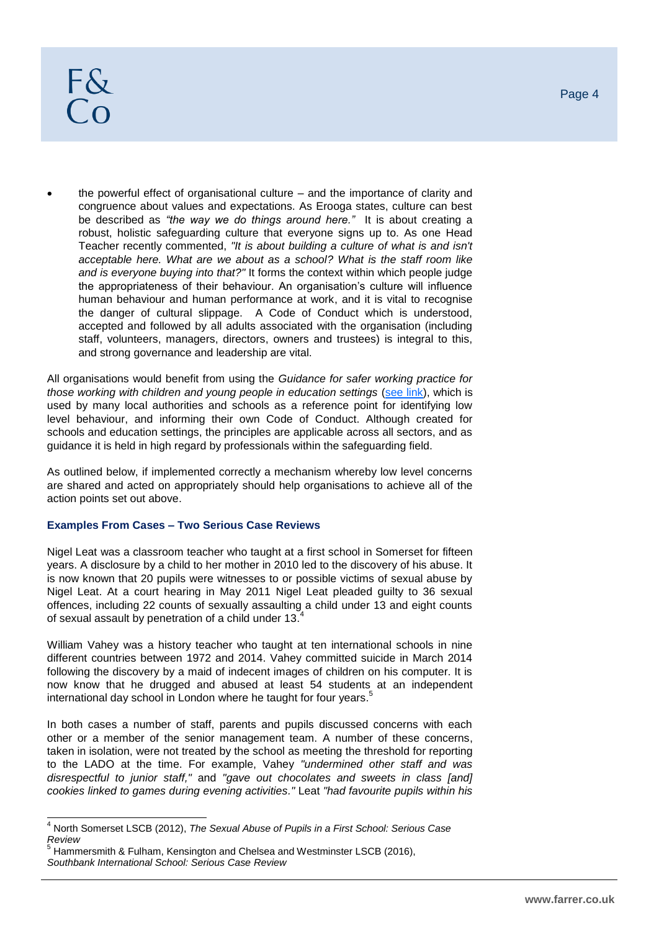# $F\&$  $\overline{C}$

 the powerful effect of organisational culture – and the importance of clarity and congruence about values and expectations. As Erooga states, culture can best be described as *"the way we do things around here."* It is about creating a robust, holistic safeguarding culture that everyone signs up to. As one Head Teacher recently commented, *"It is about building a culture of what is and isn't acceptable here. What are we about as a school? What is the staff room like and is everyone buying into that?"* It forms the context within which people judge the appropriateness of their behaviour. An organisation's culture will influence human behaviour and human performance at work, and it is vital to recognise the danger of cultural slippage. A Code of Conduct which is understood, accepted and followed by all adults associated with the organisation (including staff, volunteers, managers, directors, owners and trustees) is integral to this, and strong governance and leadership are vital.

All organisations would benefit from using the *Guidance for safer working practice for those working with children and young people in education settings [\(see link\)](http://www.saferrecruitmentconsortium.org/GSWP%20Oct%202015.pdf), which is* used by many local authorities and schools as a reference point for identifying low level behaviour, and informing their own Code of Conduct. Although created for schools and education settings, the principles are applicable across all sectors, and as guidance it is held in high regard by professionals within the safeguarding field.

As outlined below, if implemented correctly a mechanism whereby low level concerns are shared and acted on appropriately should help organisations to achieve all of the action points set out above.

# **Examples From Cases – Two Serious Case Reviews**

Nigel Leat was a classroom teacher who taught at a first school in Somerset for fifteen years. A disclosure by a child to her mother in 2010 led to the discovery of his abuse. It is now known that 20 pupils were witnesses to or possible victims of sexual abuse by Nigel Leat. At a court hearing in May 2011 Nigel Leat pleaded guilty to 36 sexual offences, including 22 counts of sexually assaulting a child under 13 and eight counts of sexual assault by penetration of a child under 13.4

William Vahey was a history teacher who taught at ten international schools in nine different countries between 1972 and 2014. Vahey committed suicide in March 2014 following the discovery by a maid of indecent images of children on his computer. It is now know that he drugged and abused at least 54 students at an independent international day school in London where he taught for four years.<sup>5</sup>

In both cases a number of staff, parents and pupils discussed concerns with each other or a member of the senior management team. A number of these concerns, taken in isolation, were not treated by the school as meeting the threshold for reporting to the LADO at the time. For example, Vahey *"undermined other staff and was disrespectful to junior staff,"* and *"gave out chocolates and sweets in class [and] cookies linked to games during evening activities."* Leat *"had favourite pupils within his* 

 $\overline{a}$ <sup>4</sup> North Somerset LSCB (2012), *The Sexual Abuse of Pupils in a First School: Serious Case Review*

<sup>5</sup> Hammersmith & Fulham, Kensington and Chelsea and Westminster LSCB (2016), *Southbank International School: Serious Case Review*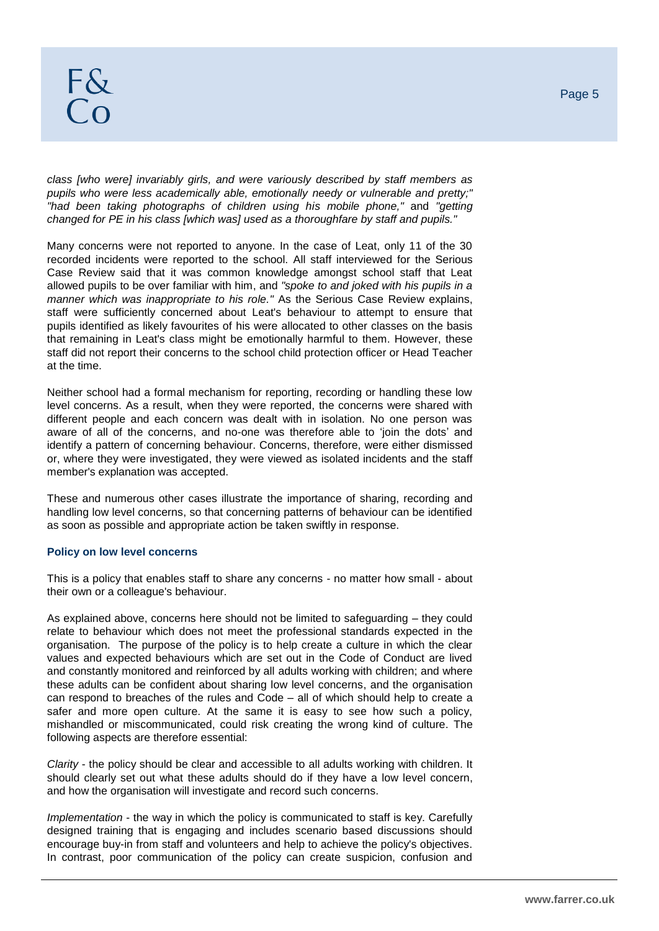*class [who were] invariably girls, and were variously described by staff members as pupils who were less academically able, emotionally needy or vulnerable and pretty;" "had been taking photographs of children using his mobile phone,"* and *"getting changed for PE in his class [which was] used as a thoroughfare by staff and pupils."*

Many concerns were not reported to anyone. In the case of Leat, only 11 of the 30 recorded incidents were reported to the school. All staff interviewed for the Serious Case Review said that it was common knowledge amongst school staff that Leat allowed pupils to be over familiar with him, and *"spoke to and joked with his pupils in a manner which was inappropriate to his role."* As the Serious Case Review explains, staff were sufficiently concerned about Leat's behaviour to attempt to ensure that pupils identified as likely favourites of his were allocated to other classes on the basis that remaining in Leat's class might be emotionally harmful to them. However, these staff did not report their concerns to the school child protection officer or Head Teacher at the time.

Neither school had a formal mechanism for reporting, recording or handling these low level concerns. As a result, when they were reported, the concerns were shared with different people and each concern was dealt with in isolation. No one person was aware of all of the concerns, and no-one was therefore able to 'join the dots' and identify a pattern of concerning behaviour. Concerns, therefore, were either dismissed or, where they were investigated, they were viewed as isolated incidents and the staff member's explanation was accepted.

These and numerous other cases illustrate the importance of sharing, recording and handling low level concerns, so that concerning patterns of behaviour can be identified as soon as possible and appropriate action be taken swiftly in response.

### **Policy on low level concerns**

This is a policy that enables staff to share any concerns - no matter how small - about their own or a colleague's behaviour.

As explained above, concerns here should not be limited to safeguarding – they could relate to behaviour which does not meet the professional standards expected in the organisation. The purpose of the policy is to help create a culture in which the clear values and expected behaviours which are set out in the Code of Conduct are lived and constantly monitored and reinforced by all adults working with children; and where these adults can be confident about sharing low level concerns, and the organisation can respond to breaches of the rules and Code – all of which should help to create a safer and more open culture. At the same it is easy to see how such a policy, mishandled or miscommunicated, could risk creating the wrong kind of culture. The following aspects are therefore essential:

*Clarity* - the policy should be clear and accessible to all adults working with children. It should clearly set out what these adults should do if they have a low level concern, and how the organisation will investigate and record such concerns.

*Implementation* - the way in which the policy is communicated to staff is key. Carefully designed training that is engaging and includes scenario based discussions should encourage buy-in from staff and volunteers and help to achieve the policy's objectives. In contrast, poor communication of the policy can create suspicion, confusion and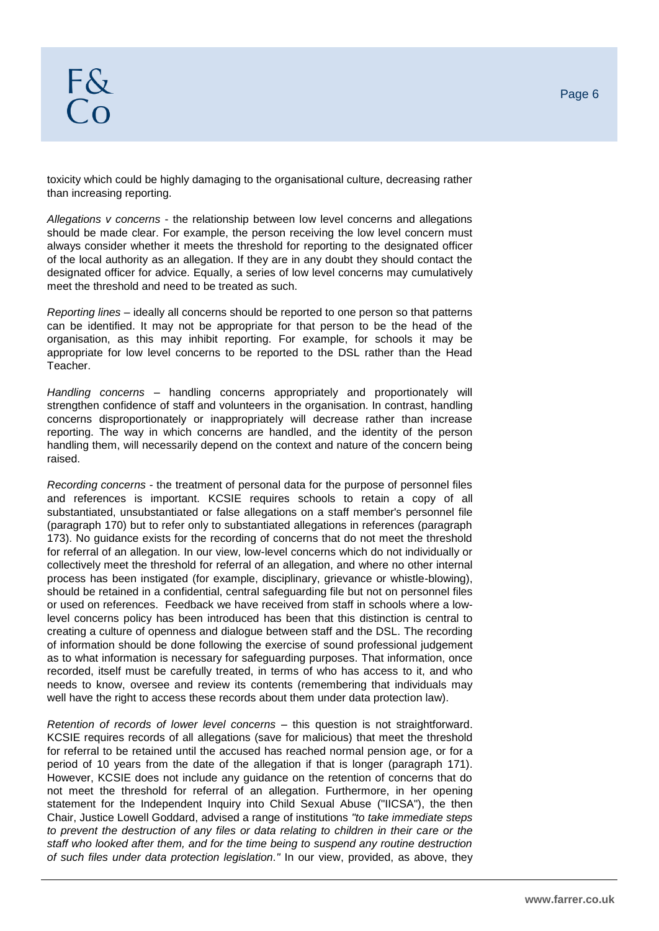toxicity which could be highly damaging to the organisational culture, decreasing rather than increasing reporting.

*Allegations v concerns* - the relationship between low level concerns and allegations should be made clear. For example, the person receiving the low level concern must always consider whether it meets the threshold for reporting to the designated officer of the local authority as an allegation. If they are in any doubt they should contact the designated officer for advice. Equally, a series of low level concerns may cumulatively meet the threshold and need to be treated as such.

*Reporting lines* – ideally all concerns should be reported to one person so that patterns can be identified. It may not be appropriate for that person to be the head of the organisation, as this may inhibit reporting. For example, for schools it may be appropriate for low level concerns to be reported to the DSL rather than the Head Teacher.

*Handling concerns* – handling concerns appropriately and proportionately will strengthen confidence of staff and volunteers in the organisation. In contrast, handling concerns disproportionately or inappropriately will decrease rather than increase reporting. The way in which concerns are handled, and the identity of the person handling them, will necessarily depend on the context and nature of the concern being raised.

*Recording concerns* - the treatment of personal data for the purpose of personnel files and references is important. KCSIE requires schools to retain a copy of all substantiated, unsubstantiated or false allegations on a staff member's personnel file (paragraph 170) but to refer only to substantiated allegations in references (paragraph 173). No guidance exists for the recording of concerns that do not meet the threshold for referral of an allegation. In our view, low-level concerns which do not individually or collectively meet the threshold for referral of an allegation, and where no other internal process has been instigated (for example, disciplinary, grievance or whistle-blowing), should be retained in a confidential, central safeguarding file but not on personnel files or used on references. Feedback we have received from staff in schools where a lowlevel concerns policy has been introduced has been that this distinction is central to creating a culture of openness and dialogue between staff and the DSL. The recording of information should be done following the exercise of sound professional judgement as to what information is necessary for safeguarding purposes. That information, once recorded, itself must be carefully treated, in terms of who has access to it, and who needs to know, oversee and review its contents (remembering that individuals may well have the right to access these records about them under data protection law).

*Retention of records of lower level concerns* – this question is not straightforward. KCSIE requires records of all allegations (save for malicious) that meet the threshold for referral to be retained until the accused has reached normal pension age, or for a period of 10 years from the date of the allegation if that is longer (paragraph 171). However, KCSIE does not include any guidance on the retention of concerns that do not meet the threshold for referral of an allegation. Furthermore, in her opening statement for the Independent Inquiry into Child Sexual Abuse ("IICSA"), the then Chair, Justice Lowell Goddard, advised a range of institutions *"to take immediate steps to prevent the destruction of any files or data relating to children in their care or the staff who looked after them, and for the time being to suspend any routine destruction of such files under data protection legislation."* In our view, provided, as above, they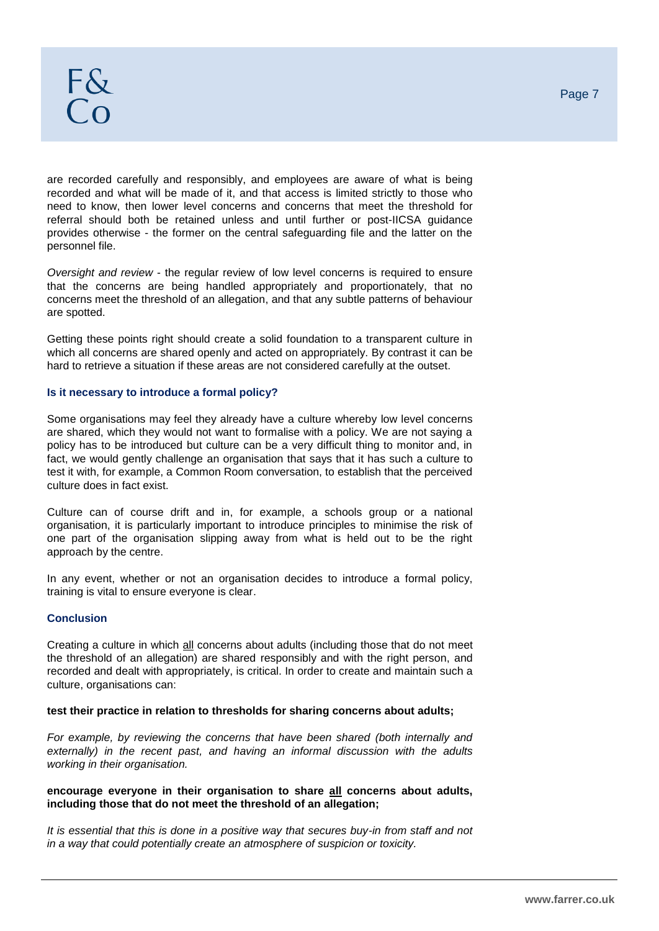are recorded carefully and responsibly, and employees are aware of what is being recorded and what will be made of it, and that access is limited strictly to those who need to know, then lower level concerns and concerns that meet the threshold for referral should both be retained unless and until further or post-IICSA guidance provides otherwise - the former on the central safeguarding file and the latter on the personnel file.

*Oversight and review* - the regular review of low level concerns is required to ensure that the concerns are being handled appropriately and proportionately, that no concerns meet the threshold of an allegation, and that any subtle patterns of behaviour are spotted.

Getting these points right should create a solid foundation to a transparent culture in which all concerns are shared openly and acted on appropriately. By contrast it can be hard to retrieve a situation if these areas are not considered carefully at the outset.

### **Is it necessary to introduce a formal policy?**

Some organisations may feel they already have a culture whereby low level concerns are shared, which they would not want to formalise with a policy. We are not saying a policy has to be introduced but culture can be a very difficult thing to monitor and, in fact, we would gently challenge an organisation that says that it has such a culture to test it with, for example, a Common Room conversation, to establish that the perceived culture does in fact exist.

Culture can of course drift and in, for example, a schools group or a national organisation, it is particularly important to introduce principles to minimise the risk of one part of the organisation slipping away from what is held out to be the right approach by the centre.

In any event, whether or not an organisation decides to introduce a formal policy, training is vital to ensure everyone is clear.

### **Conclusion**

Creating a culture in which all concerns about adults (including those that do not meet the threshold of an allegation) are shared responsibly and with the right person, and recorded and dealt with appropriately, is critical. In order to create and maintain such a culture, organisations can:

### **test their practice in relation to thresholds for sharing concerns about adults;**

*For example, by reviewing the concerns that have been shared (both internally and externally) in the recent past, and having an informal discussion with the adults working in their organisation.* 

### **encourage everyone in their organisation to share all concerns about adults, including those that do not meet the threshold of an allegation;**

*It is essential that this is done in a positive way that secures buy-in from staff and not in a way that could potentially create an atmosphere of suspicion or toxicity.*